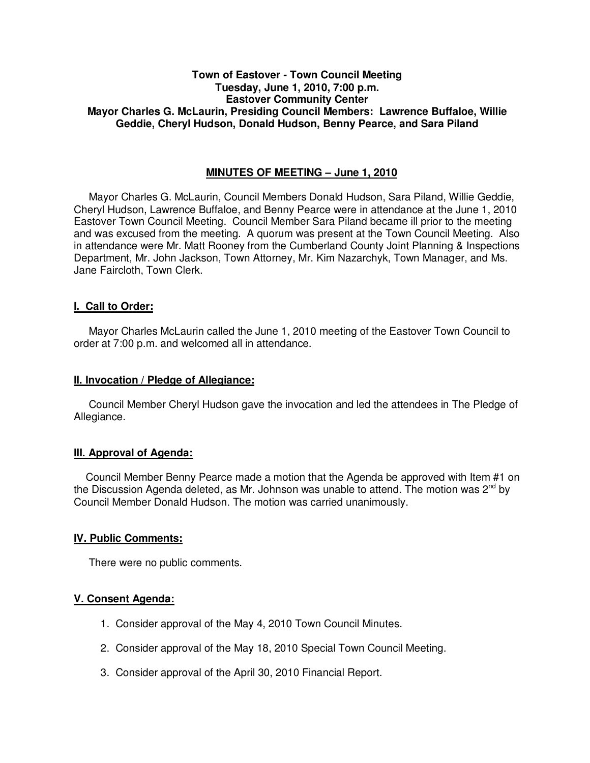# **Town of Eastover - Town Council Meeting Tuesday, June 1, 2010, 7:00 p.m. Eastover Community Center Mayor Charles G. McLaurin, Presiding Council Members: Lawrence Buffaloe, Willie Geddie, Cheryl Hudson, Donald Hudson, Benny Pearce, and Sara Piland**

# **MINUTES OF MEETING – June 1, 2010**

Mayor Charles G. McLaurin, Council Members Donald Hudson, Sara Piland, Willie Geddie, Cheryl Hudson, Lawrence Buffaloe, and Benny Pearce were in attendance at the June 1, 2010 Eastover Town Council Meeting. Council Member Sara Piland became ill prior to the meeting and was excused from the meeting. A quorum was present at the Town Council Meeting. Also in attendance were Mr. Matt Rooney from the Cumberland County Joint Planning & Inspections Department, Mr. John Jackson, Town Attorney, Mr. Kim Nazarchyk, Town Manager, and Ms. Jane Faircloth, Town Clerk.

# **I. Call to Order:**

Mayor Charles McLaurin called the June 1, 2010 meeting of the Eastover Town Council to order at 7:00 p.m. and welcomed all in attendance.

#### **II. Invocation / Pledge of Allegiance:**

 Council Member Cheryl Hudson gave the invocation and led the attendees in The Pledge of Allegiance.

# **III. Approval of Agenda:**

 Council Member Benny Pearce made a motion that the Agenda be approved with Item #1 on the Discussion Agenda deleted, as Mr. Johnson was unable to attend. The motion was  $2^{nd}$  by Council Member Donald Hudson. The motion was carried unanimously.

# **IV. Public Comments:**

There were no public comments.

# **V. Consent Agenda:**

- 1. Consider approval of the May 4, 2010 Town Council Minutes.
- 2. Consider approval of the May 18, 2010 Special Town Council Meeting.
- 3. Consider approval of the April 30, 2010 Financial Report.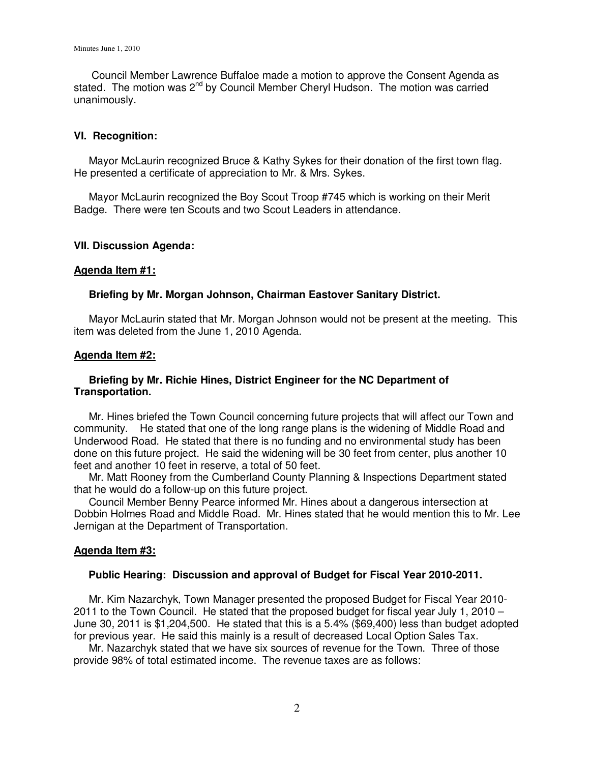Council Member Lawrence Buffaloe made a motion to approve the Consent Agenda as stated. The motion was  $2^{nd}$  by Council Member Cheryl Hudson. The motion was carried unanimously.

### **VI. Recognition:**

 Mayor McLaurin recognized Bruce & Kathy Sykes for their donation of the first town flag. He presented a certificate of appreciation to Mr. & Mrs. Sykes.

 Mayor McLaurin recognized the Boy Scout Troop #745 which is working on their Merit Badge. There were ten Scouts and two Scout Leaders in attendance.

#### **VII. Discussion Agenda:**

#### **Agenda Item #1:**

#### **Briefing by Mr. Morgan Johnson, Chairman Eastover Sanitary District.**

 Mayor McLaurin stated that Mr. Morgan Johnson would not be present at the meeting. This item was deleted from the June 1, 2010 Agenda.

#### **Agenda Item #2:**

# **Briefing by Mr. Richie Hines, District Engineer for the NC Department of Transportation.**

 Mr. Hines briefed the Town Council concerning future projects that will affect our Town and community. He stated that one of the long range plans is the widening of Middle Road and Underwood Road. He stated that there is no funding and no environmental study has been done on this future project. He said the widening will be 30 feet from center, plus another 10 feet and another 10 feet in reserve, a total of 50 feet.

 Mr. Matt Rooney from the Cumberland County Planning & Inspections Department stated that he would do a follow-up on this future project.

 Council Member Benny Pearce informed Mr. Hines about a dangerous intersection at Dobbin Holmes Road and Middle Road. Mr. Hines stated that he would mention this to Mr. Lee Jernigan at the Department of Transportation.

#### **Agenda Item #3:**

#### **Public Hearing: Discussion and approval of Budget for Fiscal Year 2010-2011.**

 Mr. Kim Nazarchyk, Town Manager presented the proposed Budget for Fiscal Year 2010- 2011 to the Town Council. He stated that the proposed budget for fiscal year July 1, 2010 – June 30, 2011 is \$1,204,500. He stated that this is a 5.4% (\$69,400) less than budget adopted for previous year. He said this mainly is a result of decreased Local Option Sales Tax.

 Mr. Nazarchyk stated that we have six sources of revenue for the Town. Three of those provide 98% of total estimated income. The revenue taxes are as follows: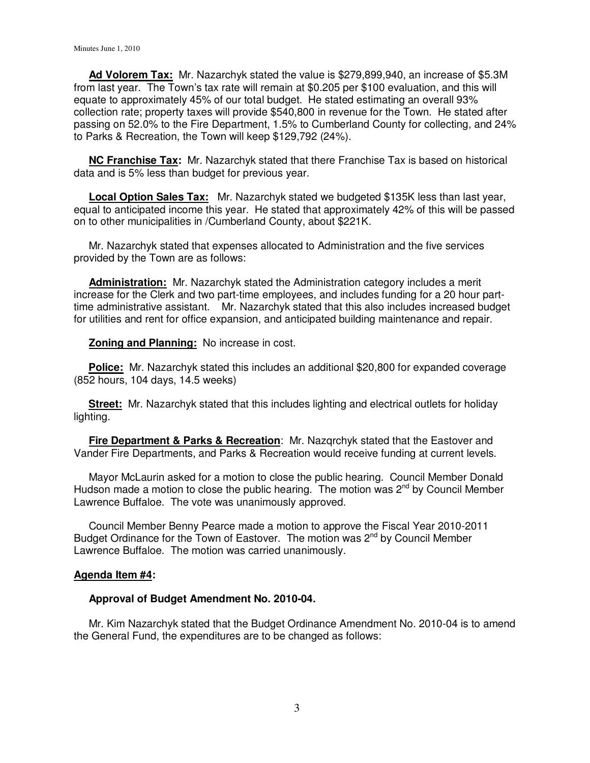**Ad Volorem Tax:** Mr. Nazarchyk stated the value is \$279,899,940, an increase of \$5.3M from last year. The Town's tax rate will remain at \$0.205 per \$100 evaluation, and this will equate to approximately 45% of our total budget. He stated estimating an overall 93% collection rate; property taxes will provide \$540,800 in revenue for the Town. He stated after passing on 52.0% to the Fire Department, 1.5% to Cumberland County for collecting, and 24% to Parks & Recreation, the Town will keep \$129,792 (24%).

 **NC Franchise Tax:** Mr. Nazarchyk stated that there Franchise Tax is based on historical data and is 5% less than budget for previous year.

 **Local Option Sales Tax:** Mr. Nazarchyk stated we budgeted \$135K less than last year, equal to anticipated income this year. He stated that approximately 42% of this will be passed on to other municipalities in /Cumberland County, about \$221K.

 Mr. Nazarchyk stated that expenses allocated to Administration and the five services provided by the Town are as follows:

 **Administration:** Mr. Nazarchyk stated the Administration category includes a merit increase for the Clerk and two part-time employees, and includes funding for a 20 hour parttime administrative assistant. Mr. Nazarchyk stated that this also includes increased budget for utilities and rent for office expansion, and anticipated building maintenance and repair.

**Zoning and Planning:** No increase in cost.

 **Police:** Mr. Nazarchyk stated this includes an additional \$20,800 for expanded coverage (852 hours, 104 days, 14.5 weeks)

 **Street:** Mr. Nazarchyk stated that this includes lighting and electrical outlets for holiday lighting.

 **Fire Department & Parks & Recreation**: Mr. Nazqrchyk stated that the Eastover and Vander Fire Departments, and Parks & Recreation would receive funding at current levels.

 Mayor McLaurin asked for a motion to close the public hearing. Council Member Donald Hudson made a motion to close the public hearing. The motion was  $2^{nd}$  by Council Member Lawrence Buffaloe. The vote was unanimously approved.

 Council Member Benny Pearce made a motion to approve the Fiscal Year 2010-2011 Budget Ordinance for the Town of Eastover. The motion was  $2<sup>nd</sup>$  by Council Member Lawrence Buffaloe. The motion was carried unanimously.

# **Agenda Item #4:**

#### **Approval of Budget Amendment No. 2010-04.**

 Mr. Kim Nazarchyk stated that the Budget Ordinance Amendment No. 2010-04 is to amend the General Fund, the expenditures are to be changed as follows: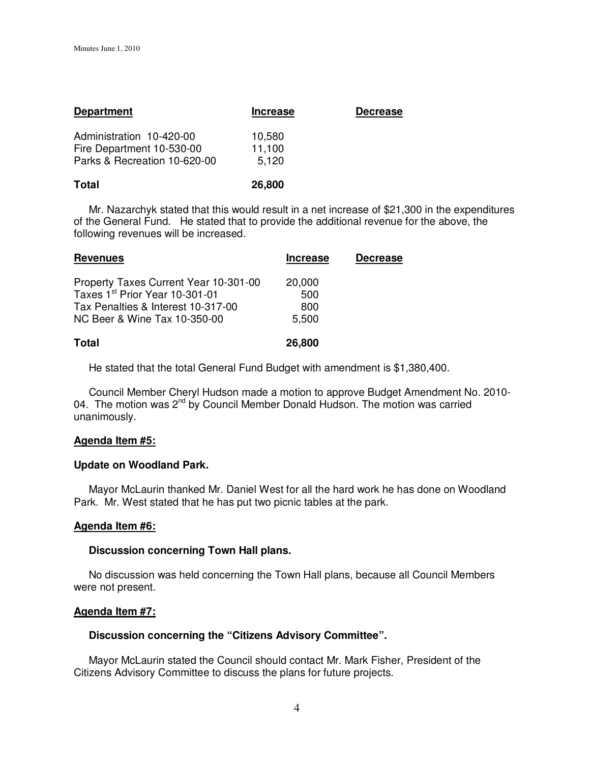| <b>Department</b>                                         | <b>Increase</b> | <b>Decrease</b> |
|-----------------------------------------------------------|-----------------|-----------------|
| Administration 10-420-00                                  | 10,580          |                 |
| Fire Department 10-530-00<br>Parks & Recreation 10-620-00 | 11,100<br>5,120 |                 |
|                                                           |                 |                 |

| Total | 26,800 |
|-------|--------|
|-------|--------|

 Mr. Nazarchyk stated that this would result in a net increase of \$21,300 in the expenditures of the General Fund. He stated that to provide the additional revenue for the above, the following revenues will be increased.

| <b>Revenues</b>                       | <b>Increase</b> | <b>Decrease</b> |
|---------------------------------------|-----------------|-----------------|
| Property Taxes Current Year 10-301-00 | 20,000          |                 |
| Taxes 1st Prior Year 10-301-01        | 500             |                 |
| Tax Penalties & Interest 10-317-00    | 800             |                 |
| NC Beer & Wine Tax 10-350-00          | 5,500           |                 |
|                                       |                 |                 |
| <b>Total</b>                          | 26,800          |                 |

He stated that the total General Fund Budget with amendment is \$1,380,400.

 Council Member Cheryl Hudson made a motion to approve Budget Amendment No. 2010- 04. The motion was 2<sup>nd</sup> by Council Member Donald Hudson. The motion was carried unanimously.

# **Agenda Item #5:**

# **Update on Woodland Park.**

Mayor McLaurin thanked Mr. Daniel West for all the hard work he has done on Woodland Park. Mr. West stated that he has put two picnic tables at the park.

# **Agenda Item #6:**

#### **Discussion concerning Town Hall plans.**

 No discussion was held concerning the Town Hall plans, because all Council Members were not present.

# **Agenda Item #7:**

# **Discussion concerning the "Citizens Advisory Committee".**

 Mayor McLaurin stated the Council should contact Mr. Mark Fisher, President of the Citizens Advisory Committee to discuss the plans for future projects.